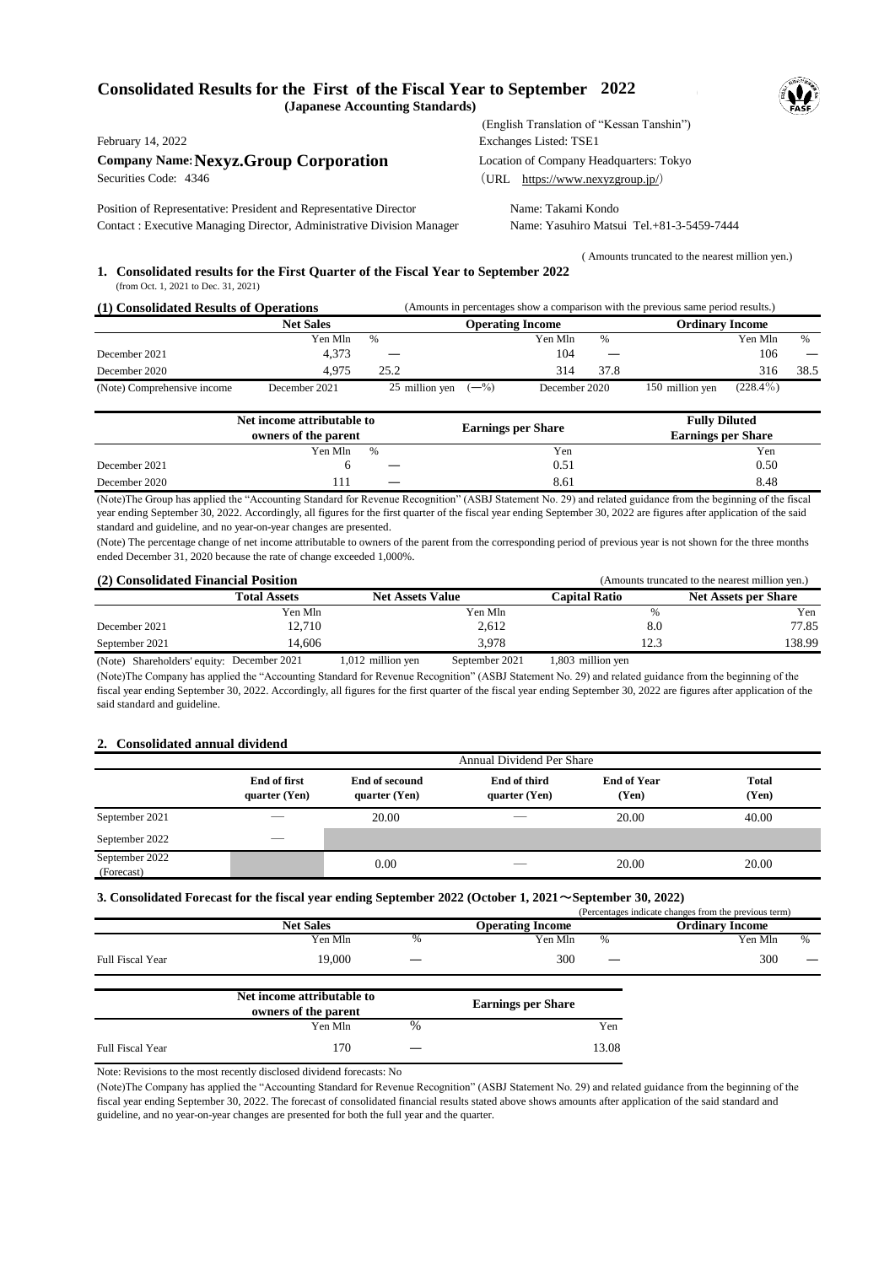## **Consolidated Results for the First of the Fiscal Year to September 2022 (Japanese Accounting Standards)**

**Company Name: Nexyz.Group Corporation** Location of Company Headquarters: Tokyo<br>Securities Code: 4346 (URL https://www.nexyzgroup.ip/)

Position of Representative: President and Representative Director Name: Takami Kondo Contact : Executive Managing Director, Administrative Division Manager Name: Yasuhiro Matsui Tel.+81-3-5459-7444

 (English Translation of "Kessan Tanshin") February 14, 2022 Exchanges Listed: TSE1  $(URL <https://www.nexyzgroup.jp/>)$ 

( Amounts truncated to the nearest million yen.)

## **1. Consolidated results for the First Quarter of the Fiscal Year to September 2022** (from Oct. 1, 2021 to Dec. 31, 2021)

| (1) Consolidated Results of Operations |               | (Amounts in percentages show a comparison with the previous same period results.) |                          |                        |                 |             |      |
|----------------------------------------|---------------|-----------------------------------------------------------------------------------|--------------------------|------------------------|-----------------|-------------|------|
| <b>Net Sales</b>                       |               | <b>Operating Income</b>                                                           |                          | <b>Ordinary Income</b> |                 |             |      |
|                                        | Yen Mln       | $\%$                                                                              | Yen Mln                  | $\%$                   |                 | Yen Mln     | $\%$ |
| December 2021                          | 4.373         |                                                                                   | 104                      | –                      |                 | 106         |      |
| December 2020                          | 4.975         | 25.2                                                                              | 314                      | 37.8                   |                 | 316         | 38.5 |
| (Note) Comprehensive income            | December 2021 | 25 million yen                                                                    | $(-\%)$<br>December 2020 |                        | 150 million yen | $(228.4\%)$ |      |

|               | Net income attributable to<br>owners of the parent |  | <b>Earnings per Share</b> | <b>Fully Diluted</b><br><b>Earnings per Share</b> |
|---------------|----------------------------------------------------|--|---------------------------|---------------------------------------------------|
|               | Yen Mln<br>$\%$                                    |  | Yen                       | Yen                                               |
| December 2021 |                                                    |  | 0.51                      | 0.50                                              |
| December 2020 | T                                                  |  | 8.61                      | 8.48                                              |

(Note)The Group has applied the "Accounting Standard for Revenue Recognition" (ASBJ Statement No. 29) and related guidance from the beginning of the fiscal year ending September 30, 2022. Accordingly, all figures for the first quarter of the fiscal year ending September 30, 2022 are figures after application of the said standard and guideline, and no year-on-year changes are presented.

(Note) The percentage change of net income attributable to owners of the parent from the corresponding period of previous year is not shown for the three months ended December 31, 2020 because the rate of change exceeded 1,000%.

| (2) Consolidated Financial Position |                      |                         | (Amounts truncated to the nearest million yen.) |                      |                             |
|-------------------------------------|----------------------|-------------------------|-------------------------------------------------|----------------------|-----------------------------|
|                                     | <b>Total Assets</b>  | <b>Net Assets Value</b> |                                                 | <b>Capital Ratio</b> | <b>Net Assets per Share</b> |
|                                     | Yen Mln              |                         | Yen Mln                                         |                      | Yen                         |
| December 2021                       | 12,710               |                         | 2,612                                           | 8.0                  | 77.85                       |
| September 2021                      | 14.606               |                         | 3.978                                           |                      | 138.99                      |
| $(3.7 \cdot 1.01 \cdot 1.11)$       | $D_{2}$ $L_{2}$ 0001 | $012 - 11$              | $0 \t1 \t0001$                                  | $002 - 11$           |                             |

(Note) Shareholders' equity: December 2021 1,012 million yen September 2021 1,803 million yen 1,012 million yen (Note)The Company has applied the "Accounting Standard for Revenue Recognition" (ASBJ Statement No. 29) and related guidance from the beginning of the fiscal year ending September 30, 2022. Accordingly, all figures for the first quarter of the fiscal year ending September 30, 2022 are figures after application of the said standard and guideline. 1,803 million yen

## **2. Consolidated annual dividend**

|                              | Annual Dividend Per Share            |                                        |                               |                             |                       |
|------------------------------|--------------------------------------|----------------------------------------|-------------------------------|-----------------------------|-----------------------|
|                              | <b>End of first</b><br>quarter (Yen) | <b>End of secound</b><br>quarter (Yen) | End of third<br>quarter (Yen) | <b>End of Year</b><br>(Yen) | <b>Total</b><br>(Yen) |
| September 2021               |                                      | 20.00                                  |                               | 20.00                       | 40.00                 |
| September 2022               |                                      |                                        |                               |                             |                       |
| September 2022<br>(Forecast) |                                      | 0.00                                   |                               | 20.00                       | 20.00                 |

## **3. Consolidated Forecast for the fiscal year ending September 2022 (October 1, 2021**~**September 30, 2022)**

|                  |                            |      |                           |       | (Percentages indicate changes from the previous term) |      |
|------------------|----------------------------|------|---------------------------|-------|-------------------------------------------------------|------|
|                  | <b>Net Sales</b>           |      | <b>Operating Income</b>   |       | <b>Ordinary Income</b>                                |      |
|                  | Yen Mln                    | %    | Yen Mln                   | %     | Yen Mln                                               | $\%$ |
| Full Fiscal Year | 19,000                     |      | 300                       |       | 300                                                   |      |
|                  | Net income attributable to |      |                           |       |                                                       |      |
|                  | owners of the parent       |      | <b>Earnings per Share</b> |       |                                                       |      |
|                  | Yen Mln                    | $\%$ |                           | Yen   |                                                       |      |
| Full Fiscal Year | 170                        |      |                           | 13.08 |                                                       |      |

Note: Revisions to the most recently disclosed dividend forecasts: No

(Note)The Company has applied the "Accounting Standard for Revenue Recognition" (ASBJ Statement No. 29) and related guidance from the beginning of the fiscal year ending September 30, 2022. The forecast of consolidated financial results stated above shows amounts after application of the said standard and guideline, and no year-on-year changes are presented for both the full year and the quarter.

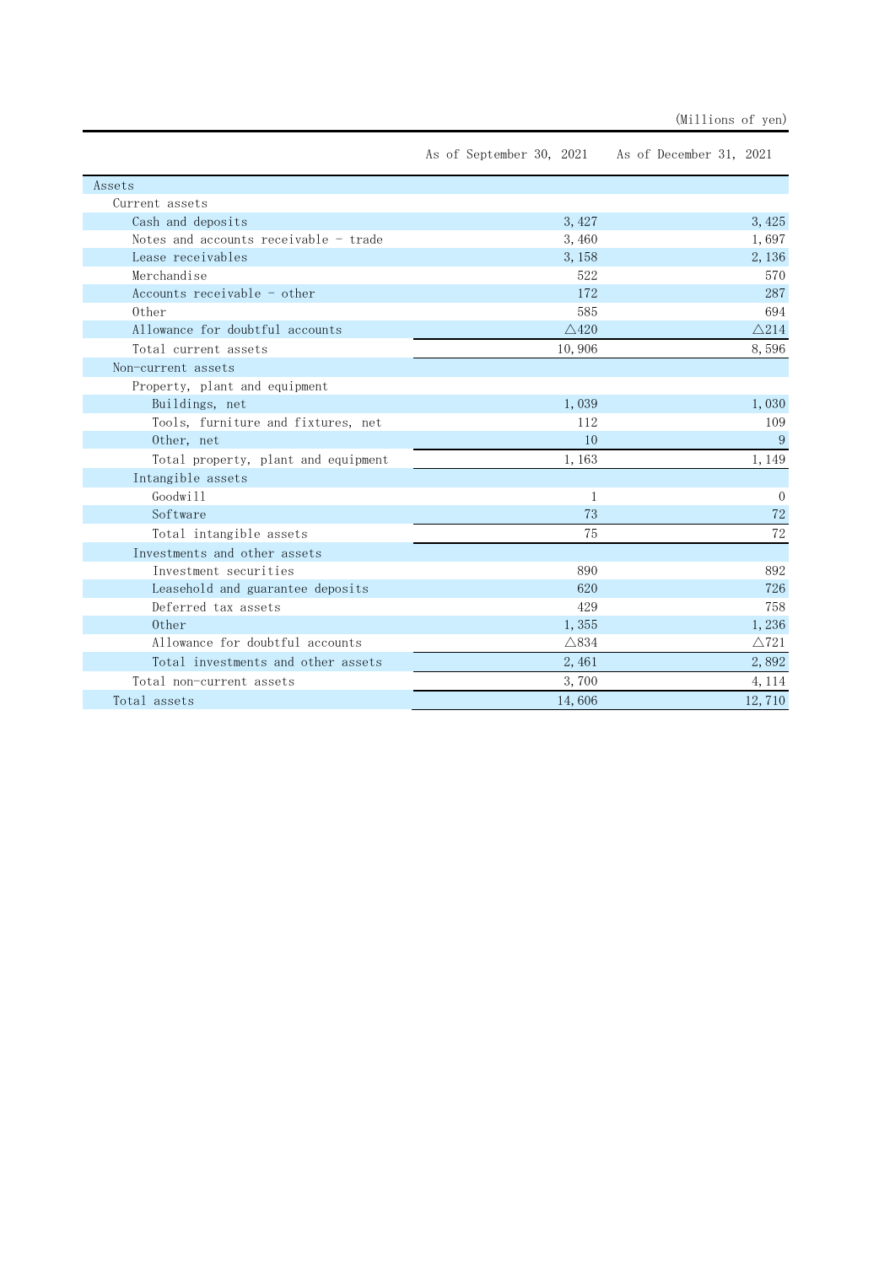|                                       | As of September 30, 2021 | As of December 31, 2021 |
|---------------------------------------|--------------------------|-------------------------|
| Assets                                |                          |                         |
| Current assets                        |                          |                         |
| Cash and deposits                     | 3, 427                   | 3, 425                  |
| Notes and accounts receivable - trade | 3,460                    | 1,697                   |
| Lease receivables                     | 3, 158                   | 2, 136                  |
| Merchandise                           | 522                      | 570                     |
| Accounts receivable - other           | 172                      | 287                     |
| 0ther                                 | 585                      | 694                     |
| Allowance for doubtful accounts       | $\triangle$ 420          | $\triangle$ 214         |
| Total current assets                  | 10,906                   | 8,596                   |
| Non-current assets                    |                          |                         |
| Property, plant and equipment         |                          |                         |
| Buildings, net                        | 1,039                    | 1,030                   |
| Tools, furniture and fixtures, net    | 112                      | 109                     |
| Other, net                            | 10                       | 9                       |
| Total property, plant and equipment   | 1,163                    | 1, 149                  |
| Intangible assets                     |                          |                         |
| Goodwill                              | $\mathbf{1}$             | $\Omega$                |
| Software                              | 73                       | 72                      |
| Total intangible assets               | 75                       | 72                      |
| Investments and other assets          |                          |                         |
| Investment securities                 | 890                      | 892                     |
| Leasehold and guarantee deposits      | 620                      | 726                     |
| Deferred tax assets                   | 429                      | 758                     |
| 0ther                                 | 1,355                    | 1,236                   |
| Allowance for doubtful accounts       | $\triangle$ 834          | $\triangle$ 721         |
| Total investments and other assets    | 2,461                    | 2,892                   |
| Total non-current assets              | 3,700                    | 4, 114                  |
| Total assets                          | 14,606                   | 12,710                  |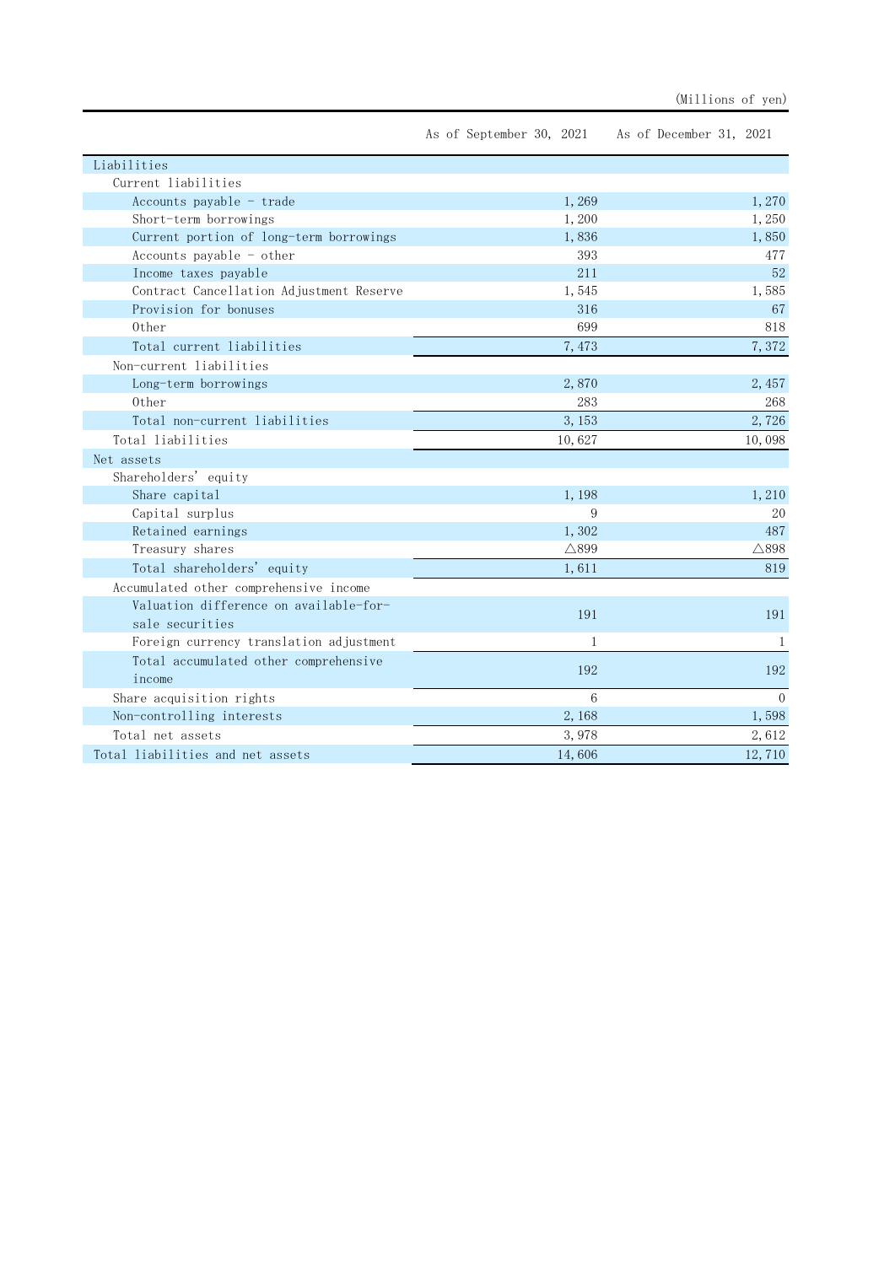|                                          | As of September 30, 2021 | As of December 31, 2021 |
|------------------------------------------|--------------------------|-------------------------|
| Liabilities                              |                          |                         |
| Current liabilities                      |                          |                         |
| Accounts payable - trade                 | 1,269                    | 1,270                   |
| Short-term borrowings                    | 1,200                    | 1,250                   |
| Current portion of long-term borrowings  | 1,836                    | 1,850                   |
| Accounts payable - other                 | 393                      | 477                     |
| Income taxes payable                     | 211                      | 52                      |
| Contract Cancellation Adjustment Reserve | 1,545                    | 1,585                   |
| Provision for bonuses                    | 316                      | 67                      |
| 0ther                                    | 699                      | 818                     |
| Total current liabilities                | 7,473                    | 7,372                   |
| Non-current liabilities                  |                          |                         |
| Long-term borrowings                     | 2,870                    | 2, 457                  |
| 0ther                                    | 283                      | 268                     |
| Total non-current liabilities            | 3, 153                   | 2,726                   |
| Total liabilities                        | 10,627                   | 10,098                  |
| Net assets                               |                          |                         |
| Shareholders' equity                     |                          |                         |
| Share capital                            | 1,198                    | 1,210                   |
| Capital surplus                          | 9                        | 20                      |
| Retained earnings                        | 1,302                    | 487                     |
| Treasury shares                          | $\triangle$ 899          | $\triangle$ 898         |
| Total shareholders' equity               | 1,611                    | 819                     |
| Accumulated other comprehensive income   |                          |                         |
| Valuation difference on available-for-   | 191                      | 191                     |
| sale securities                          |                          |                         |
| Foreign currency translation adjustment  | $\mathbf{1}$             | $\mathbf{1}$            |
| Total accumulated other comprehensive    |                          |                         |
| income                                   | 192                      | 192                     |
| Share acquisition rights                 | 6                        | $\Omega$                |
| Non-controlling interests                | 2,168                    | 1,598                   |
| Total net assets                         | 3,978                    | 2,612                   |
| Total liabilities and net assets         | 14,606                   | 12,710                  |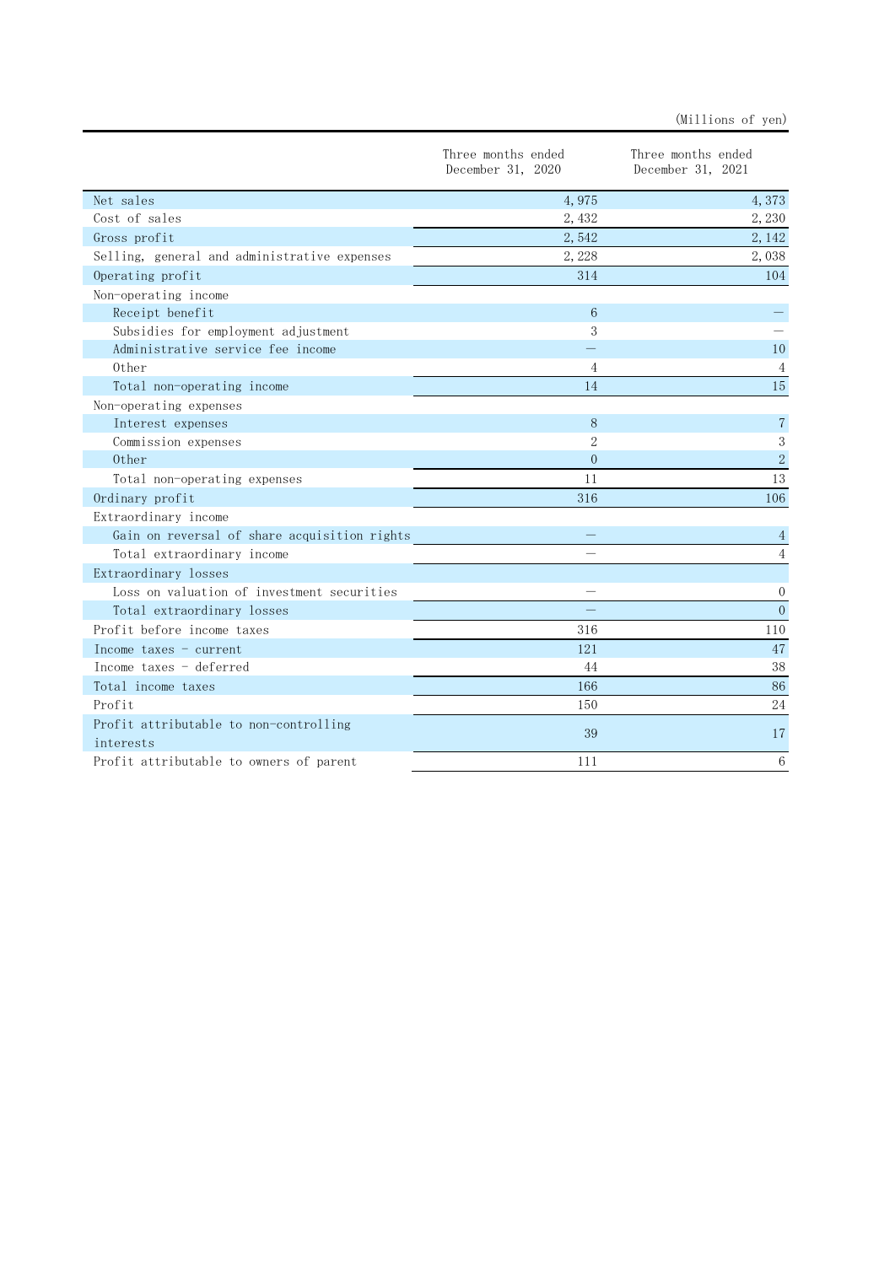|                                                     | Three months ended<br>December 31, 2020 | Three months ended<br>December 31, 2021 |
|-----------------------------------------------------|-----------------------------------------|-----------------------------------------|
| Net sales                                           | 4,975                                   | 4,373                                   |
| Cost of sales                                       | 2,432                                   | 2,230                                   |
| Gross profit                                        | 2,542                                   | 2, 142                                  |
| Selling, general and administrative expenses        | 2,228                                   | 2,038                                   |
| Operating profit                                    | 314                                     | 104                                     |
| Non-operating income                                |                                         |                                         |
| Receipt benefit                                     | 6                                       |                                         |
| Subsidies for employment adjustment                 | 3                                       |                                         |
| Administrative service fee income                   |                                         | 10                                      |
| 0ther                                               | 4                                       | 4                                       |
| Total non-operating income                          | 14                                      | 15                                      |
| Non-operating expenses                              |                                         |                                         |
| Interest expenses                                   | 8                                       | $\overline{7}$                          |
| Commission expenses                                 | $\mathcal{D}$                           | 3                                       |
| Other                                               | $\Omega$                                | $\sqrt{2}$                              |
| Total non-operating expenses                        | 11                                      | 13                                      |
| Ordinary profit                                     | 316                                     | 106                                     |
| Extraordinary income                                |                                         |                                         |
| Gain on reversal of share acquisition rights        |                                         | 4                                       |
| Total extraordinary income                          |                                         | $\overline{4}$                          |
| Extraordinary losses                                |                                         |                                         |
| Loss on valuation of investment securities          |                                         | $\theta$                                |
| Total extraordinary losses                          |                                         | $\overline{0}$                          |
| Profit before income taxes                          | 316                                     | 110                                     |
| Income taxes $-$ current                            | 121                                     | 47                                      |
| Income taxes - deferred                             | 44                                      | 38                                      |
| Total income taxes                                  | 166                                     | 86                                      |
| Profit                                              | 150                                     | 24                                      |
| Profit attributable to non-controlling<br>interests | 39                                      | 17                                      |
| Profit attributable to owners of parent             | 111                                     | 6                                       |